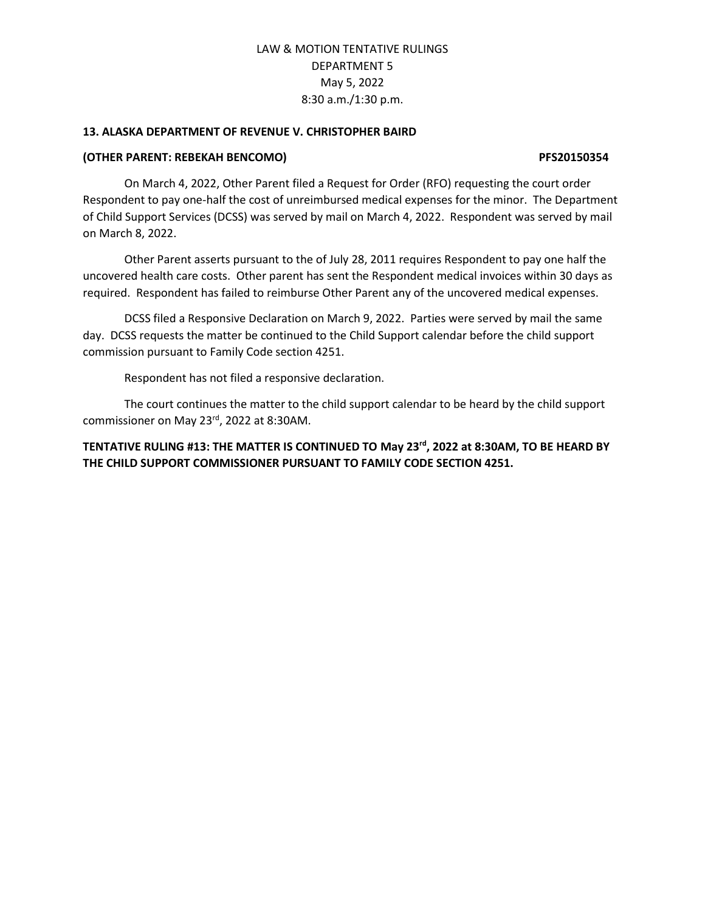### **13. ALASKA DEPARTMENT OF REVENUE V. CHRISTOPHER BAIRD**

### **(OTHER PARENT: REBEKAH BENCOMO) PFS20150354**

On March 4, 2022, Other Parent filed a Request for Order (RFO) requesting the court order Respondent to pay one-half the cost of unreimbursed medical expenses for the minor. The Department of Child Support Services (DCSS) was served by mail on March 4, 2022. Respondent was served by mail on March 8, 2022.

Other Parent asserts pursuant to the of July 28, 2011 requires Respondent to pay one half the uncovered health care costs. Other parent has sent the Respondent medical invoices within 30 days as required. Respondent has failed to reimburse Other Parent any of the uncovered medical expenses.

DCSS filed a Responsive Declaration on March 9, 2022. Parties were served by mail the same day. DCSS requests the matter be continued to the Child Support calendar before the child support commission pursuant to Family Code section 4251.

Respondent has not filed a responsive declaration.

The court continues the matter to the child support calendar to be heard by the child support commissioner on May 23rd, 2022 at 8:30AM.

**TENTATIVE RULING #13: THE MATTER IS CONTINUED TO May 23rd, 2022 at 8:30AM, TO BE HEARD BY THE CHILD SUPPORT COMMISSIONER PURSUANT TO FAMILY CODE SECTION 4251.**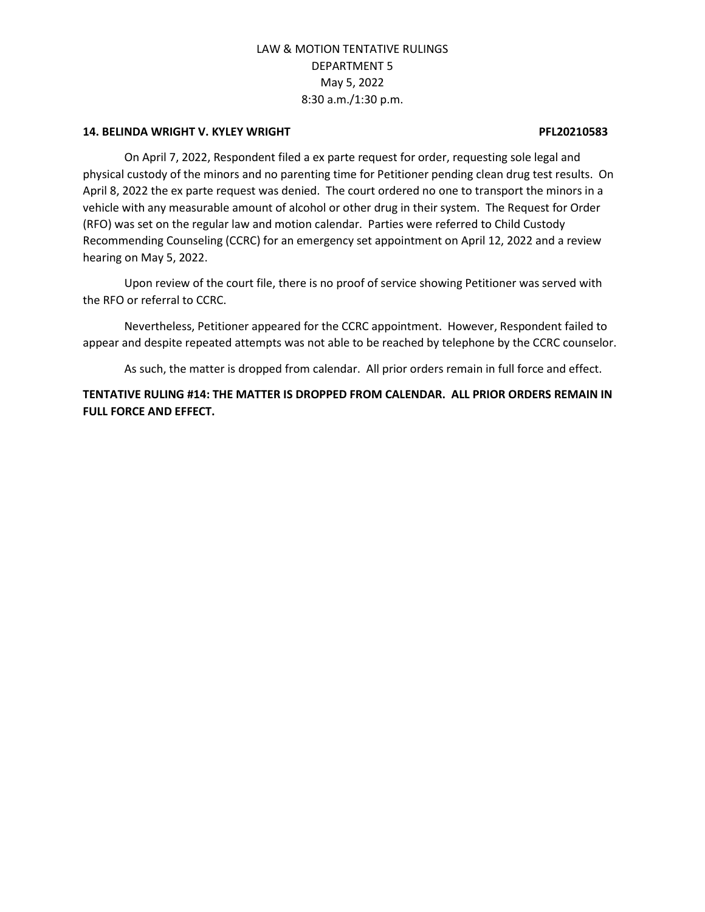## **14. BELINDA WRIGHT V. KYLEY WRIGHT PFL20210583**

On April 7, 2022, Respondent filed a ex parte request for order, requesting sole legal and physical custody of the minors and no parenting time for Petitioner pending clean drug test results. On April 8, 2022 the ex parte request was denied. The court ordered no one to transport the minors in a vehicle with any measurable amount of alcohol or other drug in their system. The Request for Order (RFO) was set on the regular law and motion calendar. Parties were referred to Child Custody Recommending Counseling (CCRC) for an emergency set appointment on April 12, 2022 and a review hearing on May 5, 2022.

Upon review of the court file, there is no proof of service showing Petitioner was served with the RFO or referral to CCRC.

Nevertheless, Petitioner appeared for the CCRC appointment. However, Respondent failed to appear and despite repeated attempts was not able to be reached by telephone by the CCRC counselor.

As such, the matter is dropped from calendar. All prior orders remain in full force and effect.

**TENTATIVE RULING #14: THE MATTER IS DROPPED FROM CALENDAR. ALL PRIOR ORDERS REMAIN IN FULL FORCE AND EFFECT.**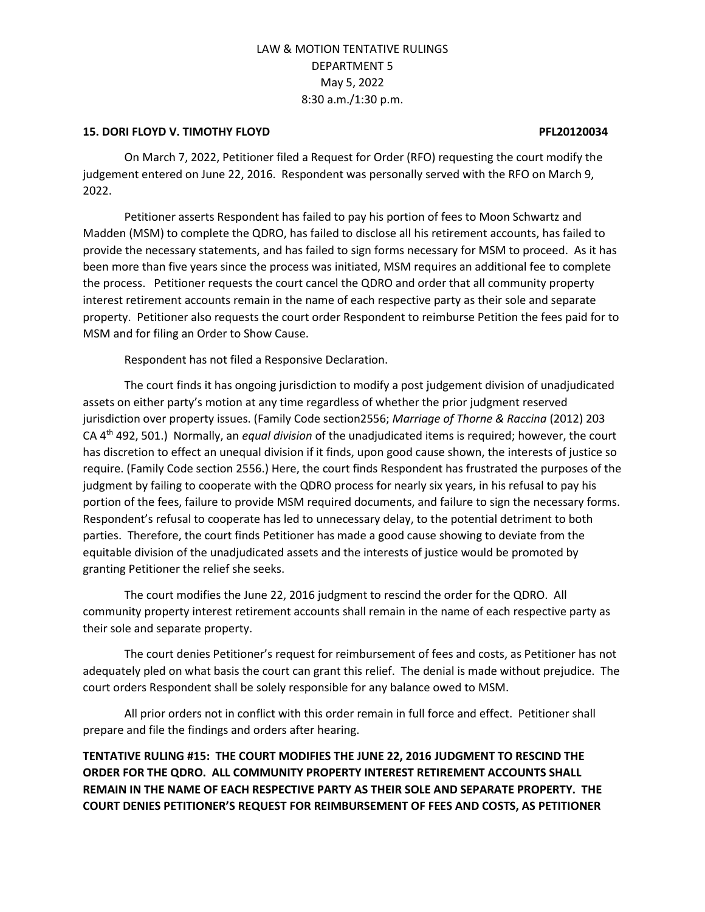### **15. DORI FLOYD V. TIMOTHY FLOYD PFL20120034**

On March 7, 2022, Petitioner filed a Request for Order (RFO) requesting the court modify the judgement entered on June 22, 2016. Respondent was personally served with the RFO on March 9, 2022.

Petitioner asserts Respondent has failed to pay his portion of fees to Moon Schwartz and Madden (MSM) to complete the QDRO, has failed to disclose all his retirement accounts, has failed to provide the necessary statements, and has failed to sign forms necessary for MSM to proceed. As it has been more than five years since the process was initiated, MSM requires an additional fee to complete the process. Petitioner requests the court cancel the QDRO and order that all community property interest retirement accounts remain in the name of each respective party as their sole and separate property. Petitioner also requests the court order Respondent to reimburse Petition the fees paid for to MSM and for filing an Order to Show Cause.

Respondent has not filed a Responsive Declaration.

The court finds it has ongoing jurisdiction to modify a post judgement division of unadjudicated assets on either party's motion at any time regardless of whether the prior judgment reserved jurisdiction over property issues. (Family Code section2556; *Marriage of Thorne & Raccina* (2012) 203 CA 4th 492, 501.) Normally, an *equal division* of the unadjudicated items is required; however, the court has discretion to effect an unequal division if it finds, upon good cause shown, the interests of justice so require. (Family Code section 2556.) Here, the court finds Respondent has frustrated the purposes of the judgment by failing to cooperate with the QDRO process for nearly six years, in his refusal to pay his portion of the fees, failure to provide MSM required documents, and failure to sign the necessary forms. Respondent's refusal to cooperate has led to unnecessary delay, to the potential detriment to both parties. Therefore, the court finds Petitioner has made a good cause showing to deviate from the equitable division of the unadjudicated assets and the interests of justice would be promoted by granting Petitioner the relief she seeks.

The court modifies the June 22, 2016 judgment to rescind the order for the QDRO. All community property interest retirement accounts shall remain in the name of each respective party as their sole and separate property.

The court denies Petitioner's request for reimbursement of fees and costs, as Petitioner has not adequately pled on what basis the court can grant this relief. The denial is made without prejudice. The court orders Respondent shall be solely responsible for any balance owed to MSM.

All prior orders not in conflict with this order remain in full force and effect. Petitioner shall prepare and file the findings and orders after hearing.

**TENTATIVE RULING #15: THE COURT MODIFIES THE JUNE 22, 2016 JUDGMENT TO RESCIND THE ORDER FOR THE QDRO. ALL COMMUNITY PROPERTY INTEREST RETIREMENT ACCOUNTS SHALL REMAIN IN THE NAME OF EACH RESPECTIVE PARTY AS THEIR SOLE AND SEPARATE PROPERTY. THE COURT DENIES PETITIONER'S REQUEST FOR REIMBURSEMENT OF FEES AND COSTS, AS PETITIONER**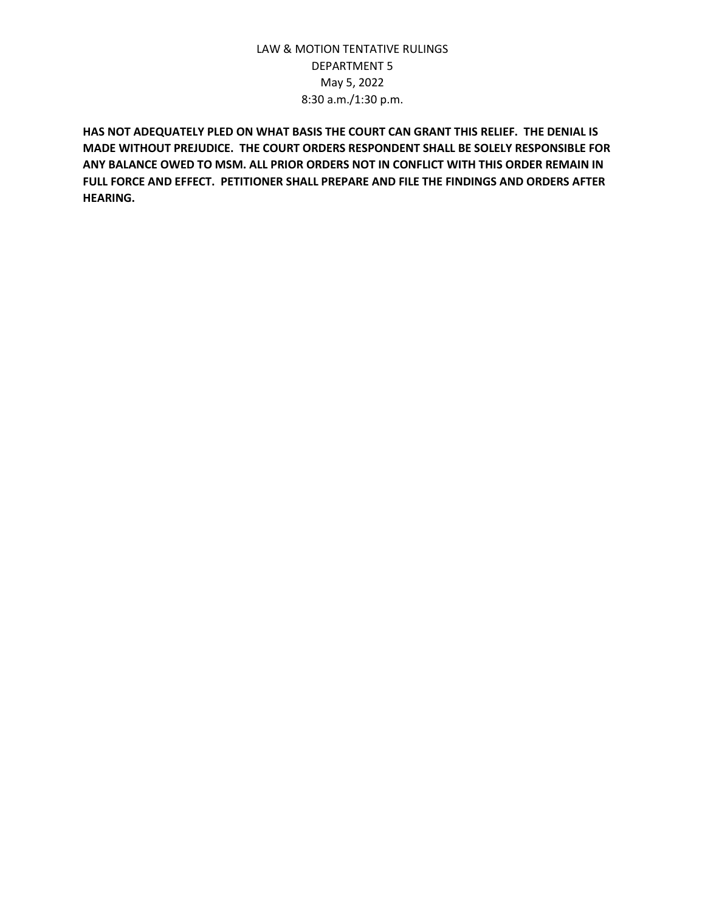**HAS NOT ADEQUATELY PLED ON WHAT BASIS THE COURT CAN GRANT THIS RELIEF. THE DENIAL IS MADE WITHOUT PREJUDICE. THE COURT ORDERS RESPONDENT SHALL BE SOLELY RESPONSIBLE FOR ANY BALANCE OWED TO MSM. ALL PRIOR ORDERS NOT IN CONFLICT WITH THIS ORDER REMAIN IN FULL FORCE AND EFFECT. PETITIONER SHALL PREPARE AND FILE THE FINDINGS AND ORDERS AFTER HEARING.**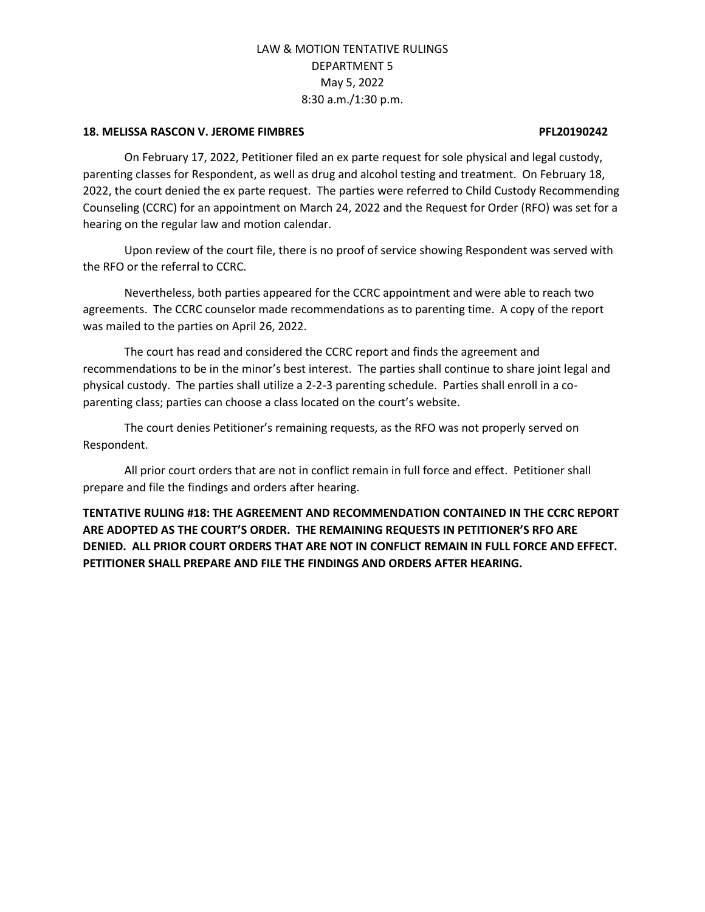### **18. MELISSA RASCON V. JEROME FIMBRES PFL20190242**

On February 17, 2022, Petitioner filed an ex parte request for sole physical and legal custody, parenting classes for Respondent, as well as drug and alcohol testing and treatment. On February 18, 2022, the court denied the ex parte request. The parties were referred to Child Custody Recommending Counseling (CCRC) for an appointment on March 24, 2022 and the Request for Order (RFO) was set for a hearing on the regular law and motion calendar.

Upon review of the court file, there is no proof of service showing Respondent was served with the RFO or the referral to CCRC.

Nevertheless, both parties appeared for the CCRC appointment and were able to reach two agreements. The CCRC counselor made recommendations as to parenting time. A copy of the report was mailed to the parties on April 26, 2022.

The court has read and considered the CCRC report and finds the agreement and recommendations to be in the minor's best interest. The parties shall continue to share joint legal and physical custody. The parties shall utilize a 2-2-3 parenting schedule. Parties shall enroll in a coparenting class; parties can choose a class located on the court's website.

The court denies Petitioner's remaining requests, as the RFO was not properly served on Respondent.

All prior court orders that are not in conflict remain in full force and effect. Petitioner shall prepare and file the findings and orders after hearing.

**TENTATIVE RULING #18: THE AGREEMENT AND RECOMMENDATION CONTAINED IN THE CCRC REPORT ARE ADOPTED AS THE COURT'S ORDER. THE REMAINING REQUESTS IN PETITIONER'S RFO ARE DENIED. ALL PRIOR COURT ORDERS THAT ARE NOT IN CONFLICT REMAIN IN FULL FORCE AND EFFECT. PETITIONER SHALL PREPARE AND FILE THE FINDINGS AND ORDERS AFTER HEARING.**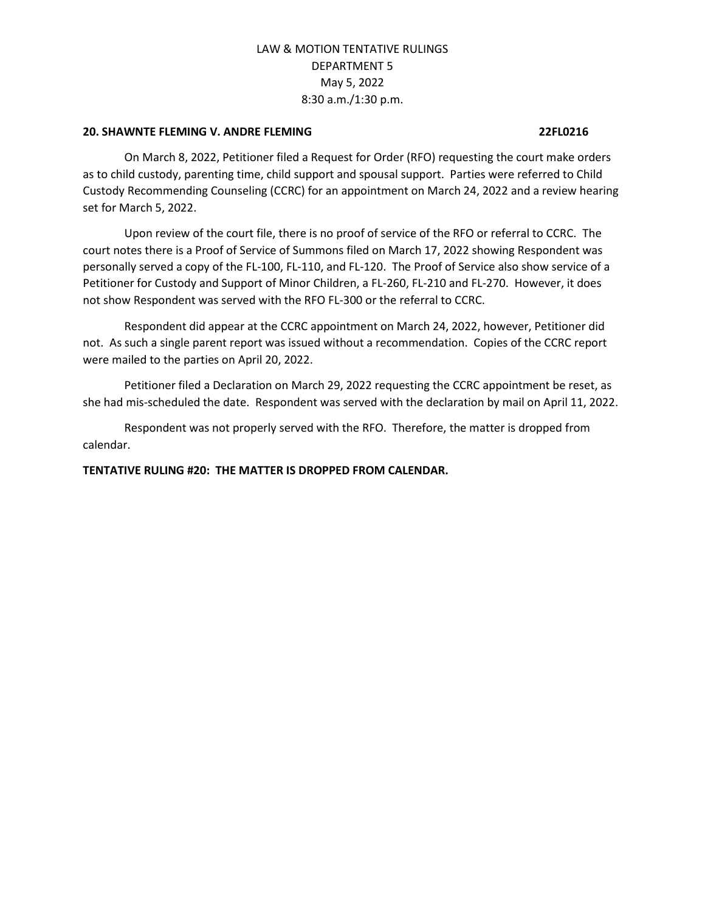## **20. SHAWNTE FLEMING V. ANDRE FLEMING 22FL0216**

On March 8, 2022, Petitioner filed a Request for Order (RFO) requesting the court make orders as to child custody, parenting time, child support and spousal support. Parties were referred to Child Custody Recommending Counseling (CCRC) for an appointment on March 24, 2022 and a review hearing set for March 5, 2022.

Upon review of the court file, there is no proof of service of the RFO or referral to CCRC. The court notes there is a Proof of Service of Summons filed on March 17, 2022 showing Respondent was personally served a copy of the FL-100, FL-110, and FL-120. The Proof of Service also show service of a Petitioner for Custody and Support of Minor Children, a FL-260, FL-210 and FL-270. However, it does not show Respondent was served with the RFO FL-300 or the referral to CCRC.

Respondent did appear at the CCRC appointment on March 24, 2022, however, Petitioner did not. As such a single parent report was issued without a recommendation. Copies of the CCRC report were mailed to the parties on April 20, 2022.

Petitioner filed a Declaration on March 29, 2022 requesting the CCRC appointment be reset, as she had mis-scheduled the date. Respondent was served with the declaration by mail on April 11, 2022.

Respondent was not properly served with the RFO. Therefore, the matter is dropped from calendar.

## **TENTATIVE RULING #20: THE MATTER IS DROPPED FROM CALENDAR.**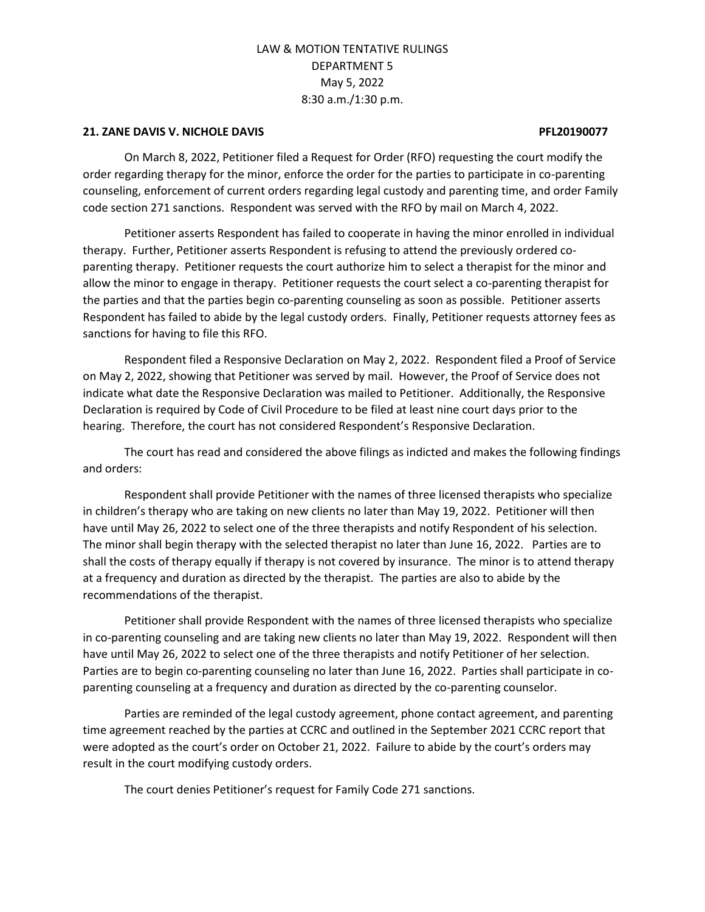### **21. ZANE DAVIS V. NICHOLE DAVIS PFL20190077**

# On March 8, 2022, Petitioner filed a Request for Order (RFO) requesting the court modify the order regarding therapy for the minor, enforce the order for the parties to participate in co-parenting counseling, enforcement of current orders regarding legal custody and parenting time, and order Family code section 271 sanctions. Respondent was served with the RFO by mail on March 4, 2022.

Petitioner asserts Respondent has failed to cooperate in having the minor enrolled in individual therapy. Further, Petitioner asserts Respondent is refusing to attend the previously ordered coparenting therapy. Petitioner requests the court authorize him to select a therapist for the minor and allow the minor to engage in therapy. Petitioner requests the court select a co-parenting therapist for the parties and that the parties begin co-parenting counseling as soon as possible. Petitioner asserts Respondent has failed to abide by the legal custody orders. Finally, Petitioner requests attorney fees as sanctions for having to file this RFO.

Respondent filed a Responsive Declaration on May 2, 2022. Respondent filed a Proof of Service on May 2, 2022, showing that Petitioner was served by mail. However, the Proof of Service does not indicate what date the Responsive Declaration was mailed to Petitioner. Additionally, the Responsive Declaration is required by Code of Civil Procedure to be filed at least nine court days prior to the hearing. Therefore, the court has not considered Respondent's Responsive Declaration.

The court has read and considered the above filings as indicted and makes the following findings and orders:

Respondent shall provide Petitioner with the names of three licensed therapists who specialize in children's therapy who are taking on new clients no later than May 19, 2022. Petitioner will then have until May 26, 2022 to select one of the three therapists and notify Respondent of his selection. The minor shall begin therapy with the selected therapist no later than June 16, 2022. Parties are to shall the costs of therapy equally if therapy is not covered by insurance. The minor is to attend therapy at a frequency and duration as directed by the therapist. The parties are also to abide by the recommendations of the therapist.

Petitioner shall provide Respondent with the names of three licensed therapists who specialize in co-parenting counseling and are taking new clients no later than May 19, 2022. Respondent will then have until May 26, 2022 to select one of the three therapists and notify Petitioner of her selection. Parties are to begin co-parenting counseling no later than June 16, 2022. Parties shall participate in coparenting counseling at a frequency and duration as directed by the co-parenting counselor.

Parties are reminded of the legal custody agreement, phone contact agreement, and parenting time agreement reached by the parties at CCRC and outlined in the September 2021 CCRC report that were adopted as the court's order on October 21, 2022. Failure to abide by the court's orders may result in the court modifying custody orders.

The court denies Petitioner's request for Family Code 271 sanctions.